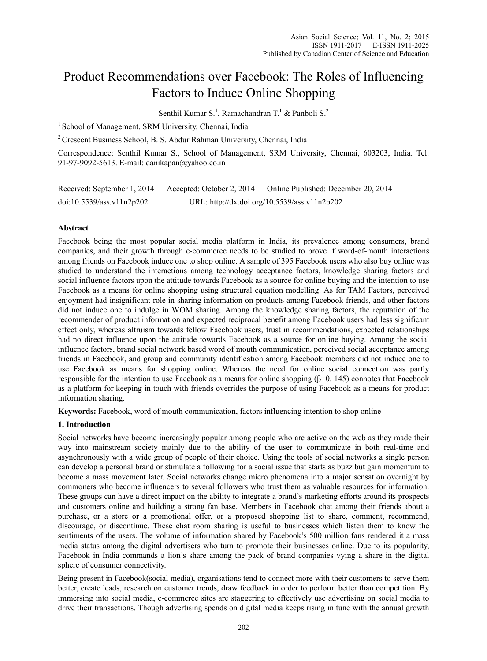# Product Recommendations over Facebook: The Roles of Influencing Factors to Induce Online Shopping

Senthil Kumar S.<sup>1</sup>, Ramachandran T.<sup>1</sup> & Panboli S.<sup>2</sup>

<sup>1</sup> School of Management, SRM University, Chennai, India

2 Crescent Business School, B. S. Abdur Rahman University, Chennai, India

Correspondence: Senthil Kumar S., School of Management, SRM University, Chennai, 603203, India. Tel: 91-97-9092-5613. E-mail: danikapan@yahoo.co.in

| Received: September 1, 2014 | Accepted: October 2, 2014 | Online Published: December 20, 2014          |
|-----------------------------|---------------------------|----------------------------------------------|
| doi:10.5539/ass.v11n2p202   |                           | URL: http://dx.doi.org/10.5539/ass.v11n2p202 |

# **Abstract**

Facebook being the most popular social media platform in India, its prevalence among consumers, brand companies, and their growth through e-commerce needs to be studied to prove if word-of-mouth interactions among friends on Facebook induce one to shop online. A sample of 395 Facebook users who also buy online was studied to understand the interactions among technology acceptance factors, knowledge sharing factors and social influence factors upon the attitude towards Facebook as a source for online buying and the intention to use Facebook as a means for online shopping using structural equation modelling. As for TAM Factors, perceived enjoyment had insignificant role in sharing information on products among Facebook friends, and other factors did not induce one to indulge in WOM sharing. Among the knowledge sharing factors, the reputation of the recommender of product information and expected reciprocal benefit among Facebook users had less significant effect only, whereas altruism towards fellow Facebook users, trust in recommendations, expected relationships had no direct influence upon the attitude towards Facebook as a source for online buying. Among the social influence factors, brand social network based word of mouth communication, perceived social acceptance among friends in Facebook, and group and community identification among Facebook members did not induce one to use Facebook as means for shopping online. Whereas the need for online social connection was partly responsible for the intention to use Facebook as a means for online shopping (β=0. 145) connotes that Facebook as a platform for keeping in touch with friends overrides the purpose of using Facebook as a means for product information sharing.

**Keywords:** Facebook, word of mouth communication, factors influencing intention to shop online

# **1. Introduction**

Social networks have become increasingly popular among people who are active on the web as they made their way into mainstream society mainly due to the ability of the user to communicate in both real-time and asynchronously with a wide group of people of their choice. Using the tools of social networks a single person can develop a personal brand or stimulate a following for a social issue that starts as buzz but gain momentum to become a mass movement later. Social networks change micro phenomena into a major sensation overnight by commoners who become influencers to several followers who trust them as valuable resources for information. These groups can have a direct impact on the ability to integrate a brand's marketing efforts around its prospects and customers online and building a strong fan base. Members in Facebook chat among their friends about a purchase, or a store or a promotional offer, or a proposed shopping list to share, comment, recommend, discourage, or discontinue. These chat room sharing is useful to businesses which listen them to know the sentiments of the users. The volume of information shared by Facebook's 500 million fans rendered it a mass media status among the digital advertisers who turn to promote their businesses online. Due to its popularity, Facebook in India commands a lion's share among the pack of brand companies vying a share in the digital sphere of consumer connectivity.

Being present in Facebook(social media), organisations tend to connect more with their customers to serve them better, create leads, research on customer trends, draw feedback in order to perform better than competition. By immersing into social media, e-commerce sites are staggering to effectively use advertising on social media to drive their transactions. Though advertising spends on digital media keeps rising in tune with the annual growth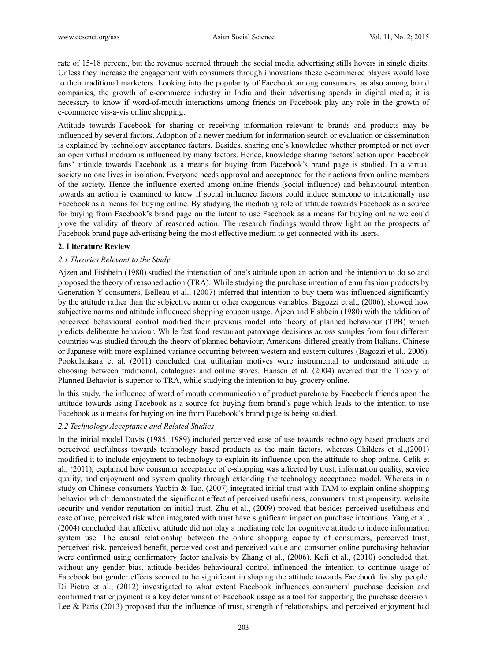rate of 15-18 percent, but the revenue accrued through the social media advertising stills hovers in single digits. Unless they increase the engagement with consumers through innovations these e-commerce players would lose to their traditional marketers. Looking into the popularity of Facebook among consumers, as also among brand companies, the growth of e-commerce industry in India and their advertising spends in digital media, it is necessary to know if word-of-mouth interactions among friends on Facebook play any role in the growth of e-commerce vis-a-vis online shopping.

Attitude towards Facebook for sharing or receiving information relevant to brands and products may be influenced by several factors. Adoption of a newer medium for information search or evaluation or dissemination is explained by technology acceptance factors. Besides, sharing one's knowledge whether prompted or not over an open virtual medium is influenced by many factors. Hence, knowledge sharing factors' action upon Facebook fans' attitude towards Facebook as a means for buying from Facebook's brand page is studied. In a virtual society no one lives in isolation. Everyone needs approval and acceptance for their actions from online members of the society. Hence the influence exerted among online friends (social influence) and behavioural intention towards an action is examined to know if social influence factors could induce someone to intentionally use Facebook as a means for buying online. By studying the mediating role of attitude towards Facebook as a source for buying from Facebook's brand page on the intent to use Facebook as a means for buying online we could prove the validity of theory of reasoned action. The research findings would throw light on the prospects of Facebook brand page advertising being the most effective medium to get connected with its users.

#### **2. Literature Review**

# *2.1 Theories Relevant to the Study*

Ajzen and Fishbein (1980) studied the interaction of one's attitude upon an action and the intention to do so and proposed the theory of reasoned action (TRA). While studying the purchase intention of emu fashion products by Generation Y consumers, Belleau et al., (2007) inferred that intention to buy them was influenced significantly by the attitude rather than the subjective norm or other exogenous variables. Bagozzi et al., (2006), showed how subjective norms and attitude influenced shopping coupon usage. Ajzen and Fishbein (1980) with the addition of perceived behavioural control modified their previous model into theory of planned behaviour (TPB) which predicts deliberate behaviour. While fast food restaurant patronage decisions across samples from four different countries was studied through the theory of planned behaviour, Americans differed greatly from Italians, Chinese or Japanese with more explained variance occurring between western and eastern cultures (Bagozzi et al., 2006). Pookulankara et al. (2011) concluded that utilitarian motives were instrumental to understand attitude in choosing between traditional, catalogues and online stores. Hansen et al. (2004) averred that the Theory of Planned Behavior is superior to TRA, while studying the intention to buy grocery online.

In this study, the influence of word of mouth communication of product purchase by Facebook friends upon the attitude towards using Facebook as a source for buying from brand's page which leads to the intention to use Facebook as a means for buying online from Facebook's brand page is being studied.

#### *2.2 Technology Acceptance and Related Studies*

In the initial model Davis (1985, 1989) included perceived ease of use towards technology based products and perceived usefulness towards technology based products as the main factors, whereas Childers et al.,(2001) modified it to include enjoyment to technology to explain its influence upon the attitude to shop online. Celik et al., (2011), explained how consumer acceptance of e-shopping was affected by trust, information quality, service quality, and enjoyment and system quality through extending the technology acceptance model. Whereas in a study on Chinese consumers Yaobin & Tao, (2007) integrated initial trust with TAM to explain online shopping behavior which demonstrated the significant effect of perceived usefulness, consumers' trust propensity, website security and vendor reputation on initial trust. Zhu et al., (2009) proved that besides perceived usefulness and ease of use, perceived risk when integrated with trust have significant impact on purchase intentions. Yang et al., (2004) concluded that affective attitude did not play a mediating role for cognitive attitude to induce information system use. The causal relationship between the online shopping capacity of consumers, perceived trust, perceived risk, perceived benefit, perceived cost and perceived value and consumer online purchasing behavior were confirmed using confirmatory factor analysis by Zhang et al., (2006). Kefi et al., (2010) concluded that, without any gender bias, attitude besides behavioural control influenced the intention to continue usage of Facebook but gender effects seemed to be significant in shaping the attitude towards Facebook for shy people. Di Pietro et al., (2012) investigated to what extent Facebook influences consumers' purchase decision and confirmed that enjoyment is a key determinant of Facebook usage as a tool for supporting the purchase decision. Lee & Paris (2013) proposed that the influence of trust, strength of relationships, and perceived enjoyment had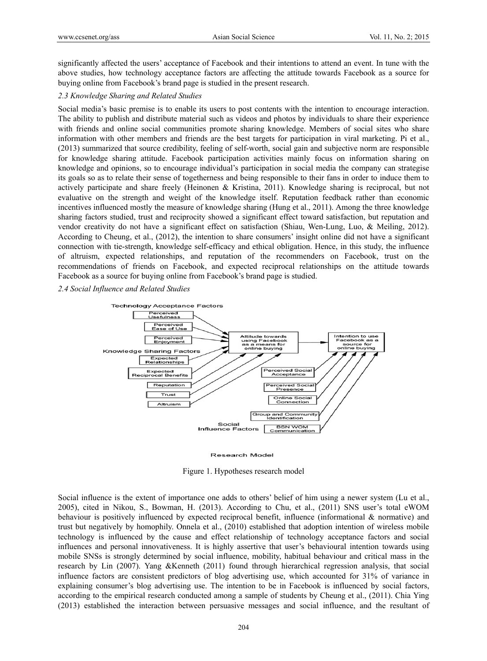significantly affected the users' acceptance of Facebook and their intentions to attend an event. In tune with the above studies, how technology acceptance factors are affecting the attitude towards Facebook as a source for buying online from Facebook's brand page is studied in the present research.

#### *2.3 Knowledge Sharing and Related Studies*

Social media's basic premise is to enable its users to post contents with the intention to encourage interaction. The ability to publish and distribute material such as videos and photos by individuals to share their experience with friends and online social communities promote sharing knowledge. Members of social sites who share information with other members and friends are the best targets for participation in viral marketing. Pi et al., (2013) summarized that source credibility, feeling of self-worth, social gain and subjective norm are responsible for knowledge sharing attitude. Facebook participation activities mainly focus on information sharing on knowledge and opinions, so to encourage individual's participation in social media the company can strategise its goals so as to relate their sense of togetherness and being responsible to their fans in order to induce them to actively participate and share freely (Heinonen & Kristina, 2011). Knowledge sharing is reciprocal, but not evaluative on the strength and weight of the knowledge itself. Reputation feedback rather than economic incentives influenced mostly the measure of knowledge sharing (Hung et al., 2011). Among the three knowledge sharing factors studied, trust and reciprocity showed a significant effect toward satisfaction, but reputation and vendor creativity do not have a significant effect on satisfaction (Shiau, Wen-Lung, Luo, & Meiling, 2012). According to Cheung, et al., (2012), the intention to share consumers' insight online did not have a significant connection with tie-strength, knowledge self-efficacy and ethical obligation. Hence, in this study, the influence of altruism, expected relationships, and reputation of the recommenders on Facebook, trust on the recommendations of friends on Facebook, and expected reciprocal relationships on the attitude towards Facebook as a source for buying online from Facebook's brand page is studied.

#### *2.4 Social Influence and Related Studies*



**Research Model** 

Figure 1. Hypotheses research model

Social influence is the extent of importance one adds to others' belief of him using a newer system (Lu et al., 2005), cited in Nikou, S., Bowman, H. (2013). According to Chu, et al., (2011) SNS user's total eWOM behaviour is positively influenced by expected reciprocal benefit, influence (informational & normative) and trust but negatively by homophily. Onnela et al., (2010) established that adoption intention of wireless mobile technology is influenced by the cause and effect relationship of technology acceptance factors and social influences and personal innovativeness. It is highly assertive that user's behavioural intention towards using mobile SNSs is strongly determined by social influence, mobility, habitual behaviour and critical mass in the research by Lin (2007). Yang &Kenneth (2011) found through hierarchical regression analysis, that social influence factors are consistent predictors of blog advertising use, which accounted for 31% of variance in explaining consumer's blog advertising use. The intention to be in Facebook is influenced by social factors, according to the empirical research conducted among a sample of students by Cheung et al., (2011). Chia Ying (2013) established the interaction between persuasive messages and social influence, and the resultant of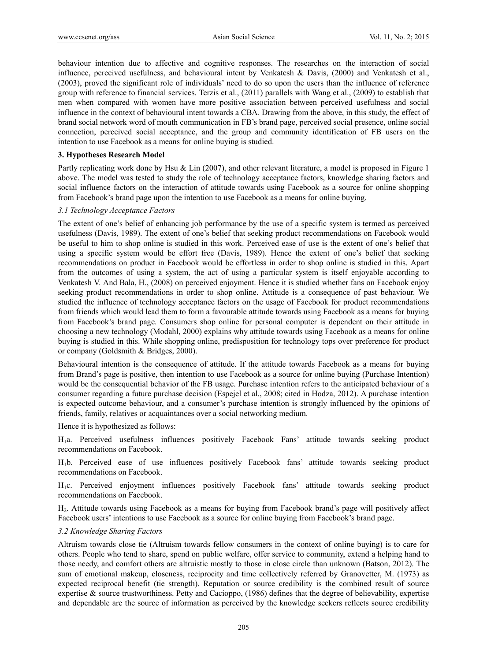behaviour intention due to affective and cognitive responses. The researches on the interaction of social influence, perceived usefulness, and behavioural intent by Venkatesh & Davis, (2000) and Venkatesh et al., (2003), proved the significant role of individuals' need to do so upon the users than the influence of reference group with reference to financial services. Terzis et al., (2011) parallels with Wang et al., (2009) to establish that men when compared with women have more positive association between perceived usefulness and social influence in the context of behavioural intent towards a CBA. Drawing from the above, in this study, the effect of brand social network word of mouth communication in FB's brand page, perceived social presence, online social connection, perceived social acceptance, and the group and community identification of FB users on the intention to use Facebook as a means for online buying is studied.

## **3. Hypotheses Research Model**

Partly replicating work done by Hsu & Lin (2007), and other relevant literature, a model is proposed in Figure 1 above. The model was tested to study the role of technology acceptance factors, knowledge sharing factors and social influence factors on the interaction of attitude towards using Facebook as a source for online shopping from Facebook's brand page upon the intention to use Facebook as a means for online buying.

#### *3.1 Technology Acceptance Factors*

The extent of one's belief of enhancing job performance by the use of a specific system is termed as perceived usefulness (Davis, 1989). The extent of one's belief that seeking product recommendations on Facebook would be useful to him to shop online is studied in this work. Perceived ease of use is the extent of one's belief that using a specific system would be effort free (Davis, 1989). Hence the extent of one's belief that seeking recommendations on product in Facebook would be effortless in order to shop online is studied in this. Apart from the outcomes of using a system, the act of using a particular system is itself enjoyable according to Venkatesh V. And Bala, H., (2008) on perceived enjoyment. Hence it is studied whether fans on Facebook enjoy seeking product recommendations in order to shop online. Attitude is a consequence of past behaviour. We studied the influence of technology acceptance factors on the usage of Facebook for product recommendations from friends which would lead them to form a favourable attitude towards using Facebook as a means for buying from Facebook's brand page. Consumers shop online for personal computer is dependent on their attitude in choosing a new technology (Modahl, 2000) explains why attitude towards using Facebook as a means for online buying is studied in this. While shopping online, predisposition for technology tops over preference for product or company (Goldsmith & Bridges, 2000).

Behavioural intention is the consequence of attitude. If the attitude towards Facebook as a means for buying from Brand's page is positive, then intention to use Facebook as a source for online buying (Purchase Intention) would be the consequential behavior of the FB usage. Purchase intention refers to the anticipated behaviour of a consumer regarding a future purchase decision (Espejel et al., 2008; cited in Hodza, 2012). A purchase intention is expected outcome behaviour, and a consumer's purchase intention is strongly influenced by the opinions of friends, family, relatives or acquaintances over a social networking medium.

Hence it is hypothesized as follows:

H1a. Perceived usefulness influences positively Facebook Fans' attitude towards seeking product recommendations on Facebook.

H1b. Perceived ease of use influences positively Facebook fans' attitude towards seeking product recommendations on Facebook.

H1c. Perceived enjoyment influences positively Facebook fans' attitude towards seeking product recommendations on Facebook.

H2. Attitude towards using Facebook as a means for buying from Facebook brand's page will positively affect Facebook users' intentions to use Facebook as a source for online buying from Facebook's brand page.

#### *3.2 Knowledge Sharing Factors*

Altruism towards close tie (Altruism towards fellow consumers in the context of online buying) is to care for others. People who tend to share, spend on public welfare, offer service to community, extend a helping hand to those needy, and comfort others are altruistic mostly to those in close circle than unknown (Batson, 2012). The sum of emotional makeup, closeness, reciprocity and time collectively referred by Granovetter, M. (1973) as expected reciprocal benefit (tie strength). Reputation or source credibility is the combined result of source expertise & source trustworthiness. Petty and Cacioppo, (1986) defines that the degree of believability, expertise and dependable are the source of information as perceived by the knowledge seekers reflects source credibility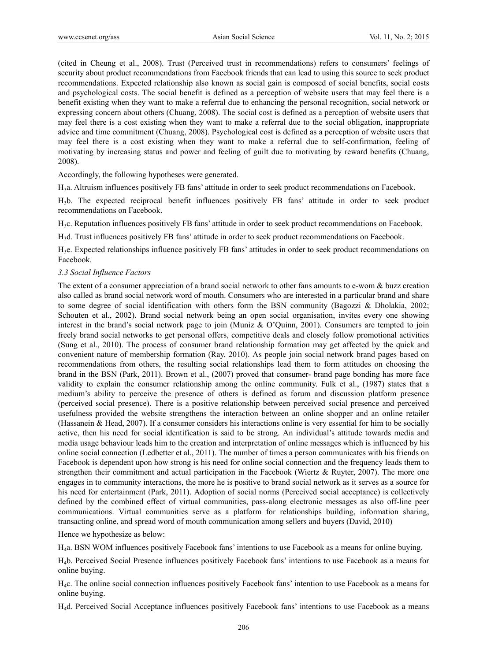(cited in Cheung et al., 2008). Trust (Perceived trust in recommendations) refers to consumers' feelings of security about product recommendations from Facebook friends that can lead to using this source to seek product recommendations. Expected relationship also known as social gain is composed of social benefits, social costs and psychological costs. The social benefit is defined as a perception of website users that may feel there is a benefit existing when they want to make a referral due to enhancing the personal recognition, social network or expressing concern about others (Chuang, 2008). The social cost is defined as a perception of website users that may feel there is a cost existing when they want to make a referral due to the social obligation, inappropriate advice and time commitment (Chuang, 2008). Psychological cost is defined as a perception of website users that may feel there is a cost existing when they want to make a referral due to self-confirmation, feeling of motivating by increasing status and power and feeling of guilt due to motivating by reward benefits (Chuang, 2008).

Accordingly, the following hypotheses were generated.

H3a. Altruism influences positively FB fans' attitude in order to seek product recommendations on Facebook.

H3b. The expected reciprocal benefit influences positively FB fans' attitude in order to seek product recommendations on Facebook.

H3c. Reputation influences positively FB fans' attitude in order to seek product recommendations on Facebook.

H3d. Trust influences positively FB fans' attitude in order to seek product recommendations on Facebook.

H3e. Expected relationships influence positively FB fans' attitudes in order to seek product recommendations on Facebook.

#### *3.3 Social Influence Factors*

The extent of a consumer appreciation of a brand social network to other fans amounts to e-wom & buzz creation also called as brand social network word of mouth. Consumers who are interested in a particular brand and share to some degree of social identification with others form the BSN community (Bagozzi & Dholakia, 2002; Schouten et al., 2002). Brand social network being an open social organisation, invites every one showing interest in the brand's social network page to join (Muniz & O'Quinn, 2001). Consumers are tempted to join freely brand social networks to get personal offers, competitive deals and closely follow promotional activities (Sung et al., 2010). The process of consumer brand relationship formation may get affected by the quick and convenient nature of membership formation (Ray, 2010). As people join social network brand pages based on recommendations from others, the resulting social relationships lead them to form attitudes on choosing the brand in the BSN (Park, 2011). Brown et al., (2007) proved that consumer- brand page bonding has more face validity to explain the consumer relationship among the online community. Fulk et al., (1987) states that a medium's ability to perceive the presence of others is defined as forum and discussion platform presence (perceived social presence). There is a positive relationship between perceived social presence and perceived usefulness provided the website strengthens the interaction between an online shopper and an online retailer (Hassanein & Head, 2007). If a consumer considers his interactions online is very essential for him to be socially active, then his need for social identification is said to be strong. An individual's attitude towards media and media usage behaviour leads him to the creation and interpretation of online messages which is influenced by his online social connection (Ledbetter et al., 2011). The number of times a person communicates with his friends on Facebook is dependent upon how strong is his need for online social connection and the frequency leads them to strengthen their commitment and actual participation in the Facebook (Wiertz & Ruyter, 2007). The more one engages in to community interactions, the more he is positive to brand social network as it serves as a source for his need for entertainment (Park, 2011). Adoption of social norms (Perceived social acceptance) is collectively defined by the combined effect of virtual communities, pass-along electronic messages as also off-line peer communications. Virtual communities serve as a platform for relationships building, information sharing, transacting online, and spread word of mouth communication among sellers and buyers (David, 2010)

Hence we hypothesize as below:

H4a. BSN WOM influences positively Facebook fans' intentions to use Facebook as a means for online buying.

H4b. Perceived Social Presence influences positively Facebook fans' intentions to use Facebook as a means for online buying.

H4c. The online social connection influences positively Facebook fans' intention to use Facebook as a means for online buying.

H4d. Perceived Social Acceptance influences positively Facebook fans' intentions to use Facebook as a means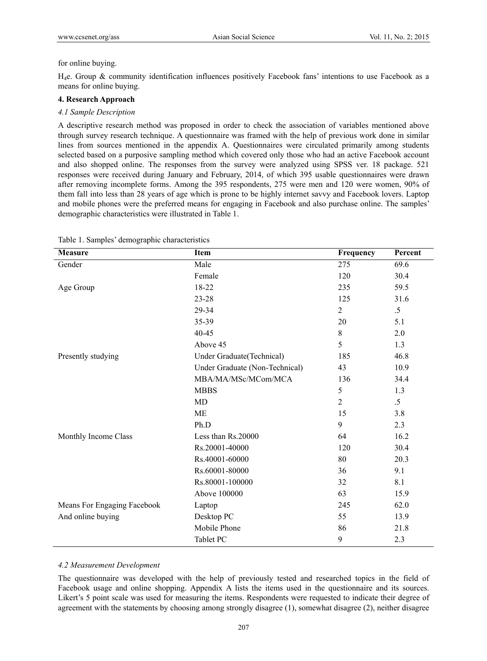### for online buying.

H4e. Group & community identification influences positively Facebook fans' intentions to use Facebook as a means for online buying.

# **4. Research Approach**

# *4.1 Sample Description*

A descriptive research method was proposed in order to check the association of variables mentioned above through survey research technique. A questionnaire was framed with the help of previous work done in similar lines from sources mentioned in the appendix A. Questionnaires were circulated primarily among students selected based on a purposive sampling method which covered only those who had an active Facebook account and also shopped online. The responses from the survey were analyzed using SPSS ver. 18 package. 521 responses were received during January and February, 2014, of which 395 usable questionnaires were drawn after removing incomplete forms. Among the 395 respondents, 275 were men and 120 were women, 90% of them fall into less than 28 years of age which is prone to be highly internet savvy and Facebook lovers. Laptop and mobile phones were the preferred means for engaging in Facebook and also purchase online. The samples' demographic characteristics were illustrated in Table 1.

| <b>Measure</b>              | Item                           | Frequency        | Percent |
|-----------------------------|--------------------------------|------------------|---------|
| Gender                      | Male                           | $\overline{275}$ | 69.6    |
|                             | Female                         | 120              | 30.4    |
| Age Group                   | 18-22                          | 235              | 59.5    |
|                             | $23 - 28$                      | 125              | 31.6    |
|                             | 29-34                          | $\overline{2}$   | $.5\,$  |
|                             | 35-39                          | 20               | 5.1     |
|                             | 40-45                          | $\,8\,$          | 2.0     |
|                             | Above 45                       | 5                | 1.3     |
| Presently studying          | Under Graduate (Technical)     | 185              | 46.8    |
|                             | Under Graduate (Non-Technical) | 43               | 10.9    |
|                             | MBA/MA/MSc/MCom/MCA            | 136              | 34.4    |
|                             | <b>MBBS</b>                    | 5                | 1.3     |
|                             | MD                             | $\overline{2}$   | $.5\,$  |
|                             | <b>ME</b>                      | 15               | 3.8     |
|                             | Ph.D                           | 9                | 2.3     |
| Monthly Income Class        | Less than Rs.20000             | 64               | 16.2    |
|                             | Rs.20001-40000                 | 120              | 30.4    |
|                             | Rs.40001-60000                 | 80               | 20.3    |
|                             | Rs.60001-80000                 | 36               | 9.1     |
|                             | Rs.80001-100000                | 32               | 8.1     |
|                             | Above 100000                   | 63               | 15.9    |
| Means For Engaging Facebook | Laptop                         | 245              | 62.0    |
| And online buying           | Desktop PC                     | 55               | 13.9    |
|                             | Mobile Phone                   | 86               | 21.8    |
|                             | Tablet PC                      | 9                | 2.3     |

Table 1. Samples' demographic characteristics

#### *4.2 Measurement Development*

The questionnaire was developed with the help of previously tested and researched topics in the field of Facebook usage and online shopping. Appendix A lists the items used in the questionnaire and its sources. Likert's 5 point scale was used for measuring the items. Respondents were requested to indicate their degree of agreement with the statements by choosing among strongly disagree (1), somewhat disagree (2), neither disagree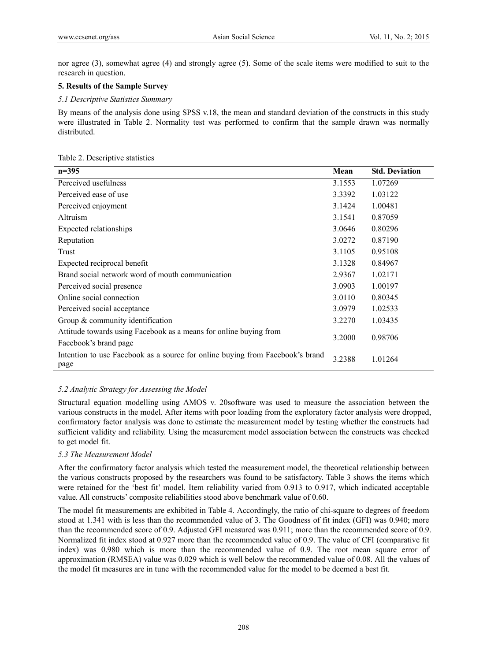nor agree (3), somewhat agree (4) and strongly agree (5). Some of the scale items were modified to suit to the research in question.

# **5. Results of the Sample Survey**

## *5.1 Descriptive Statistics Summary*

By means of the analysis done using SPSS v.18, the mean and standard deviation of the constructs in this study were illustrated in Table 2. Normality test was performed to confirm that the sample drawn was normally distributed.

#### Table 2. Descriptive statistics

| $n=395$                                                                               | Mean   | <b>Std. Deviation</b> |
|---------------------------------------------------------------------------------------|--------|-----------------------|
| Perceived usefulness                                                                  | 3.1553 | 1.07269               |
| Perceived ease of use                                                                 | 3.3392 | 1.03122               |
| Perceived enjoyment                                                                   | 3.1424 | 1.00481               |
| Altruism                                                                              | 3.1541 | 0.87059               |
| Expected relationships                                                                | 3.0646 | 0.80296               |
| Reputation                                                                            | 3.0272 | 0.87190               |
| Trust                                                                                 | 3.1105 | 0.95108               |
| Expected reciprocal benefit                                                           | 3.1328 | 0.84967               |
| Brand social network word of mouth communication                                      | 2.9367 | 1.02171               |
| Perceived social presence                                                             | 3.0903 | 1.00197               |
| Online social connection                                                              | 3.0110 | 0.80345               |
| Perceived social acceptance                                                           | 3.0979 | 1.02533               |
| Group $&$ community identification                                                    | 3.2270 | 1.03435               |
| Attitude towards using Facebook as a means for online buying from                     | 3.2000 | 0.98706               |
| Facebook's brand page                                                                 |        |                       |
| Intention to use Facebook as a source for online buying from Facebook's brand<br>page | 3.2388 | 1.01264               |

# *5.2 Analytic Strategy for Assessing the Model*

Structural equation modelling using AMOS v. 20software was used to measure the association between the various constructs in the model. After items with poor loading from the exploratory factor analysis were dropped, confirmatory factor analysis was done to estimate the measurement model by testing whether the constructs had sufficient validity and reliability. Using the measurement model association between the constructs was checked to get model fit.

# *5.3 The Measurement Model*

After the confirmatory factor analysis which tested the measurement model, the theoretical relationship between the various constructs proposed by the researchers was found to be satisfactory. Table 3 shows the items which were retained for the 'best fit' model. Item reliability varied from 0.913 to 0.917, which indicated acceptable value. All constructs' composite reliabilities stood above benchmark value of 0.60.

The model fit measurements are exhibited in Table 4. Accordingly, the ratio of chi-square to degrees of freedom stood at 1.341 with is less than the recommended value of 3. The Goodness of fit index (GFI) was 0.940; more than the recommended score of 0.9. Adjusted GFI measured was 0.911; more than the recommended score of 0.9. Normalized fit index stood at 0.927 more than the recommended value of 0.9. The value of CFI (comparative fit index) was 0.980 which is more than the recommended value of 0.9. The root mean square error of approximation (RMSEA) value was 0.029 which is well below the recommended value of 0.08. All the values of the model fit measures are in tune with the recommended value for the model to be deemed a best fit.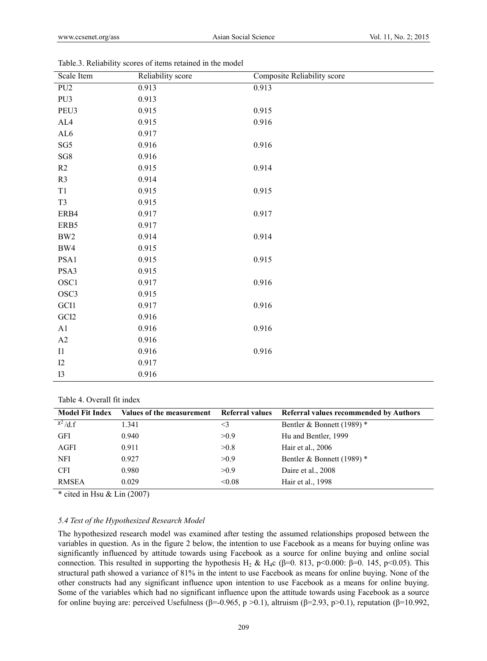| Scale Item           | Reliability score | <b>Composite Reliability score</b> |
|----------------------|-------------------|------------------------------------|
| ${\rm PU2}$          | 0.913             | 0.913                              |
| PU3                  | 0.913             |                                    |
| PEU3                 | 0.915             | 0.915                              |
| ${\rm AL4}$          | 0.915             | 0.916                              |
| $AL6$                | 0.917             |                                    |
| SG5                  | 0.916             | 0.916                              |
| $\operatorname{SG8}$ | 0.916             |                                    |
| R2                   | 0.915             | 0.914                              |
| R3                   | 0.914             |                                    |
| T1                   | 0.915             | 0.915                              |
| T <sub>3</sub>       | 0.915             |                                    |
| ERB4                 | 0.917             | 0.917                              |
| ERB5                 | 0.917             |                                    |
| $\rm BW2$            | 0.914             | 0.914                              |
| BW4                  | 0.915             |                                    |
| PSA1                 | 0.915             | 0.915                              |
| PSA3                 | 0.915             |                                    |
| OSC1                 | 0.917             | 0.916                              |
| OSC3                 | 0.915             |                                    |
| GCI1                 | 0.917             | 0.916                              |
| $\rm GCI2$           | 0.916             |                                    |
| A1                   | 0.916             | 0.916                              |
| A2                   | 0.916             |                                    |
| I1                   | 0.916             | 0.916                              |
| I2                   | 0.917             |                                    |
| <b>I3</b>            | 0.916             |                                    |

Table.3. Reliability scores of items retained in the model

Table 4. Overall fit index

| <b>Model Fit Index</b> |       |          | Values of the measurement Referral values Referral values recommended by Authors |
|------------------------|-------|----------|----------------------------------------------------------------------------------|
| $x^2/d.f$              | 1.341 | $\leq$ 3 | Bentler & Bonnett (1989) $*$                                                     |
| <b>GFI</b>             | 0.940 | >0.9     | Hu and Bentler, 1999                                                             |
| AGFI                   | 0.911 | >0.8     | Hair et al., 2006                                                                |
| NFI                    | 0.927 | >0.9     | Bentler & Bonnett (1989) $*$                                                     |
| <b>CFI</b>             | 0.980 | >0.9     | Daire et al., 2008                                                               |
| <b>RMSEA</b>           | 0.029 | < 0.08   | Hair et al., 1998                                                                |

\* cited in Hsu & Lin (2007)

## *5.4 Test of the Hypothesized Research Model*

The hypothesized research model was examined after testing the assumed relationships proposed between the variables in question. As in the figure 2 below, the intention to use Facebook as a means for buying online was significantly influenced by attitude towards using Facebook as a source for online buying and online social connection. This resulted in supporting the hypothesis H<sub>2</sub> & H<sub>4</sub>c (β=0. 813, p<0.000: β=0. 145, p<0.05). This structural path showed a variance of 81% in the intent to use Facebook as means for online buying. None of the other constructs had any significant influence upon intention to use Facebook as a means for online buying. Some of the variables which had no significant influence upon the attitude towards using Facebook as a source for online buying are: perceived Usefulness (β=-0.965, p >0.1), altruism (β=2.93, p>0.1), reputation (β=10.992,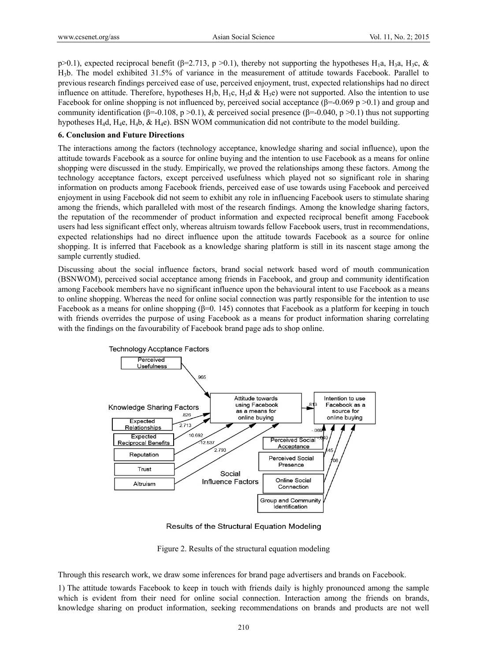p>0.1), expected reciprocal benefit ( $\beta$ =2.713, p >0.1), thereby not supporting the hypotheses H<sub>1</sub>a, H<sub>3</sub>a, H<sub>3</sub>c, & H3b. The model exhibited 31.5% of variance in the measurement of attitude towards Facebook. Parallel to previous research findings perceived ease of use, perceived enjoyment, trust, expected relationships had no direct influence on attitude. Therefore, hypotheses  $H_1b$ ,  $H_1c$ ,  $H_3d$  &  $H_3e$ ) were not supported. Also the intention to use Facebook for online shopping is not influenced by, perceived social acceptance ( $\beta$ =-0.069 p >0.1) and group and community identification (β=-0.108, p >0.1), & perceived social presence (β=-0.040, p >0.1) thus not supporting hypotheses H<sub>4</sub>d, H<sub>4</sub>e, H<sub>4</sub>b,  $\&$  H<sub>4</sub>e). BSN WOM communication did not contribute to the model building.

#### **6. Conclusion and Future Directions**

The interactions among the factors (technology acceptance, knowledge sharing and social influence), upon the attitude towards Facebook as a source for online buying and the intention to use Facebook as a means for online shopping were discussed in the study. Empirically, we proved the relationships among these factors. Among the technology acceptance factors, except perceived usefulness which played not so significant role in sharing information on products among Facebook friends, perceived ease of use towards using Facebook and perceived enjoyment in using Facebook did not seem to exhibit any role in influencing Facebook users to stimulate sharing among the friends, which paralleled with most of the research findings. Among the knowledge sharing factors, the reputation of the recommender of product information and expected reciprocal benefit among Facebook users had less significant effect only, whereas altruism towards fellow Facebook users, trust in recommendations, expected relationships had no direct influence upon the attitude towards Facebook as a source for online shopping. It is inferred that Facebook as a knowledge sharing platform is still in its nascent stage among the sample currently studied.

Discussing about the social influence factors, brand social network based word of mouth communication (BSNWOM), perceived social acceptance among friends in Facebook, and group and community identification among Facebook members have no significant influence upon the behavioural intent to use Facebook as a means to online shopping. Whereas the need for online social connection was partly responsible for the intention to use Facebook as a means for online shopping  $(\beta=0. 145)$  connotes that Facebook as a platform for keeping in touch with friends overrides the purpose of using Facebook as a means for product information sharing correlating with the findings on the favourability of Facebook brand page ads to shop online.



Results of the Structural Equation Modeling

Figure 2. Results of the structural equation modeling

Through this research work, we draw some inferences for brand page advertisers and brands on Facebook.

1) The attitude towards Facebook to keep in touch with friends daily is highly pronounced among the sample which is evident from their need for online social connection. Interaction among the friends on brands, knowledge sharing on product information, seeking recommendations on brands and products are not well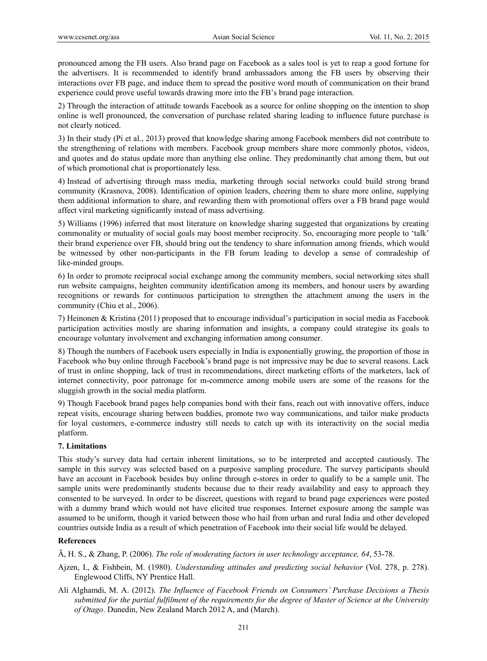pronounced among the FB users. Also brand page on Facebook as a sales tool is yet to reap a good fortune for the advertisers. It is recommended to identify brand ambassadors among the FB users by observing their interactions over FB page, and induce them to spread the positive word mouth of communication on their brand experience could prove useful towards drawing more into the FB's brand page interaction.

2) Through the interaction of attitude towards Facebook as a source for online shopping on the intention to shop online is well pronounced, the conversation of purchase related sharing leading to influence future purchase is not clearly noticed.

3) In their study (Pi et al., 2013) proved that knowledge sharing among Facebook members did not contribute to the strengthening of relations with members. Facebook group members share more commonly photos, videos, and quotes and do status update more than anything else online. They predominantly chat among them, but out of which promotional chat is proportionately less.

4) Instead of advertising through mass media, marketing through social networks could build strong brand community (Krasnova, 2008). Identification of opinion leaders, cheering them to share more online, supplying them additional information to share, and rewarding them with promotional offers over a FB brand page would affect viral marketing significantly instead of mass advertising.

5) Williams (1996) inferred that most literature on knowledge sharing suggested that organizations by creating commonality or mutuality of social goals may boost member reciprocity. So, encouraging more people to 'talk' their brand experience over FB, should bring out the tendency to share information among friends, which would be witnessed by other non-participants in the FB forum leading to develop a sense of comradeship of like-minded groups.

6) In order to promote reciprocal social exchange among the community members, social networking sites shall run website campaigns, heighten community identification among its members, and honour users by awarding recognitions or rewards for continuous participation to strengthen the attachment among the users in the community (Chiu et al., 2006).

7) Heinonen & Kristina (2011) proposed that to encourage individual's participation in social media as Facebook participation activities mostly are sharing information and insights, a company could strategise its goals to encourage voluntary involvement and exchanging information among consumer.

8) Though the numbers of Facebook users especially in India is exponentially growing, the proportion of those in Facebook who buy online through Facebook's brand page is not impressive may be due to several reasons. Lack of trust in online shopping, lack of trust in recommendations, direct marketing efforts of the marketers, lack of internet connectivity, poor patronage for m-commerce among mobile users are some of the reasons for the sluggish growth in the social media platform.

9) Though Facebook brand pages help companies bond with their fans, reach out with innovative offers, induce repeat visits, encourage sharing between buddies, promote two way communications, and tailor make products for loyal customers, e-commerce industry still needs to catch up with its interactivity on the social media platform.

# **7. Limitations**

This study's survey data had certain inherent limitations, so to be interpreted and accepted cautiously. The sample in this survey was selected based on a purposive sampling procedure. The survey participants should have an account in Facebook besides buy online through e-stores in order to qualify to be a sample unit. The sample units were predominantly students because due to their ready availability and easy to approach they consented to be surveyed. In order to be discreet, questions with regard to brand page experiences were posted with a dummy brand which would not have elicited true responses. Internet exposure among the sample was assumed to be uniform, though it varied between those who hail from urban and rural India and other developed countries outside India as a result of which penetration of Facebook into their social life would be delayed.

# **References**

Ã, H. S., & Zhang, P. (2006). *The role of moderating factors in user technology acceptance, 64*, 53-78.

- Ajzen, I., & Fishbein, M. (1980). *Understanding attitudes and predicting social behavior* (Vol. 278, p. 278). Englewood Cliffs, NY Prentice Hall.
- Ali Alghamdi, M. A. (2012). *The Influence of Facebook Friends on Consumers' Purchase Decisions a Thesis submitted for the partial fulfilment of the requirements for the degree of Master of Science at the University of Otago*. Dunedin, New Zealand March 2012 A, and (March).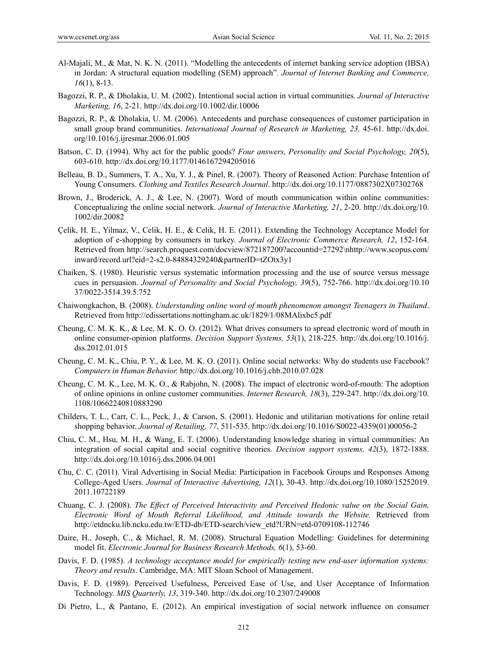- Al-Majali, M., & Mat, N. K. N. (2011). "Modelling the antecedents of internet banking service adoption (IBSA) in Jordan: A structural equation modelling (SEM) approach"*. Journal of Internet Banking and Commerce, 16*(1), 8-13.
- Bagozzi, R. P., & Dholakia, U. M. (2002). Intentional social action in virtual communities. *Journal of Interactive Marketing, 16*, 2-21. http://dx.doi.org/10.1002/dir.10006
- Bagozzi, R. P., & Dholakia, U. M. (2006). Antecedents and purchase consequences of customer participation in small group brand communities. *International Journal of Research in Marketing, 23,* 45-61. http://dx.doi. org/10.1016/j.ijresmar.2006.01.005
- Batson, C. D. (1994). Why act for the public goods? *Four answers, Personality and Social Psychology, 20*(5), 603-610. http://dx.doi.org/10.1177/0146167294205016
- Belleau, B. D., Summers, T. A., Xu, Y. J., & Pinel, R. (2007). Theory of Reasoned Action: Purchase Intention of Young Consumers. *Clothing and Textiles Research Journal*. http://dx.doi.org/10.1177/0887302X07302768
- Brown, J., Broderick, A. J., & Lee, N. (2007). Word of mouth communication within online communities: Conceptualizing the online social network. *Journal of Interactive Marketing, 21*, 2-20. http://dx.doi.org/10. 1002/dir.20082
- Çelik, H. E., Yilmaz, V., Celik, H. E., & Celik, H. E. (2011). Extending the Technology Acceptance Model for adoption of e-shopping by consumers in turkey. *Journal of Electronic Commerce Research, 12*, 152-164. Retrieved from http://search.proquest.com/docview/872187200?accountid=27292\nhttp://www.scopus.com/ inward/record.url?eid=2-s2.0-84884329240&partnerID=tZOtx3y1
- Chaiken, S. (1980). Heuristic versus systematic information processing and the use of source versus message cues in persuasion. *Journal of Personality and Social Psychology, 39*(5), 752-766. http://dx.doi.org/10.10 37/0022-3514.39.5.752
- Chaiwongkachon, B. (2008). *Understanding online word of mouth phenomenon amongst Teenagers in Thailand*. Retrieved from http://edissertations.nottingham.ac.uk/1829/1/08MAlixbc5.pdf
- Cheung, C. M. K. K., & Lee, M. K. O. O. (2012). What drives consumers to spread electronic word of mouth in online consumer-opinion platforms. *Decision Support Systems, 53*(1), 218-225. http://dx.doi.org/10.1016/j. dss.2012.01.015
- Cheung, C. M. K., Chiu, P. Y., & Lee, M. K. O. (2011). Online social networks: Why do students use Facebook? *Computers in Human Behavior.* http://dx.doi.org/10.1016/j.chb.2010.07.028
- Cheung, C. M. K., Lee, M. K. O., & Rabjohn, N. (2008). The impact of electronic word-of-mouth: The adoption of online opinions in online customer communities. *Internet Research, 18*(3), 229-247. http://dx.doi.org/10. 1108/10662240810883290
- Childers, T. L., Carr, C. L., Peck, J., & Carson, S. (2001). Hedonic and utilitarian motivations for online retail shopping behavior. *Journal of Retailing, 77*, 511-535. http://dx.doi.org/10.1016/S0022-4359(01)00056-2
- Chiu, C. M., Hsu, M. H., & Wang, E. T. (2006). Understanding knowledge sharing in virtual communities: An integration of social capital and social cognitive theories. *Decision support systems, 42*(3), 1872-1888. http://dx.doi.org/10.1016/j.dss.2006.04.001
- Chu, C. C. (2011). Viral Advertising in Social Media: Participation in Facebook Groups and Responses Among College-Aged Users. *Journal of Interactive Advertising, 12*(1), 30-43. http://dx.doi.org/10.1080/15252019. 2011.10722189
- Chuang, C. J. (2008). *The Effect of Perceived Interactivity and Perceived Hedonic value on the Social Gain, Electronic Word of Mouth Referral Likelihood, and Attitude towards the Website.* Retrieved from http://etdncku.lib.ncku.edu.tw/ETD-db/ETD-search/view\_etd?URN=etd-0709108-112746
- Daire, H., Joseph, C., & Michael, R. M. (2008). Structural Equation Modelling: Guidelines for determining model fit. *Electronic Journal for Business Research Methods, 6*(1), 53-60.
- Davis, F. D. (1985). *A technology acceptance model for empirically testing new end-user information systems: Theory and results*. Cambridge, MA: MIT Sloan School of Management.
- Davis, F. D. (1989). Perceived Usefulness, Perceived Ease of Use, and User Acceptance of Information Technology. *MIS Quarterly, 13*, 319-340. http://dx.doi.org/10.2307/249008
- Di Pietro, L., & Pantano, E. (2012). An empirical investigation of social network influence on consumer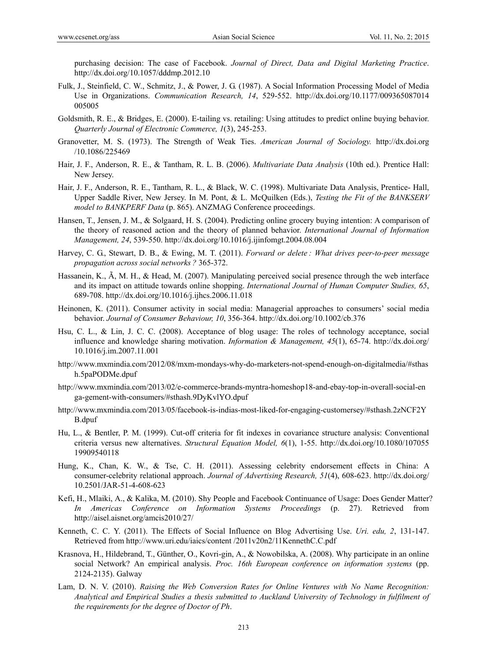purchasing decision: The case of Facebook. *Journal of Direct, Data and Digital Marketing Practice*. http://dx.doi.org/10.1057/dddmp.2012.10

- Fulk, J., Steinfield, C. W., Schmitz, J., & Power, J. G. (1987). A Social Information Processing Model of Media Use in Organizations. *Communication Research, 14*, 529-552. http://dx.doi.org/10.1177/009365087014 005005
- Goldsmith, R. E., & Bridges, E. (2000). E-tailing vs. retailing: Using attitudes to predict online buying behavior. *Quarterly Journal of Electronic Commerce, 1*(3), 245-253.
- Granovetter, M. S. (1973). The Strength of Weak Ties. *American Journal of Sociology.* http://dx.doi.org /10.1086/225469
- Hair, J. F., Anderson, R. E., & Tantham, R. L. B. (2006). *Multivariate Data Analysis* (10th ed.). Prentice Hall: New Jersey.
- Hair, J. F., Anderson, R. E., Tantham, R. L., & Black, W. C. (1998). Multivariate Data Analysis, Prentice- Hall, Upper Saddle River, New Jersey. In M. Pont, & L. McQuilken (Eds.), *Testing the Fit of the BANKSERV model to BANKPERF Data* (p. 865). ANZMAG Conference proceedings.
- Hansen, T., Jensen, J. M., & Solgaard, H. S. (2004). Predicting online grocery buying intention: A comparison of the theory of reasoned action and the theory of planned behavior. *International Journal of Information Management, 24*, 539-550. http://dx.doi.org/10.1016/j.ijinfomgt.2004.08.004
- Harvey, C. G., Stewart, D. B., & Ewing, M. T. (2011). *Forward or delete : What drives peer-to-peer message propagation across social networks ?* 365-372.
- Hassanein, K., Ã, M. H., & Head, M. (2007). Manipulating perceived social presence through the web interface and its impact on attitude towards online shopping. *International Journal of Human Computer Studies, 65*, 689-708. http://dx.doi.org/10.1016/j.ijhcs.2006.11.018
- Heinonen, K. (2011). Consumer activity in social media: Managerial approaches to consumers' social media behavior. *Journal of Consumer Behaviour, 10*, 356-364. http://dx.doi.org/10.1002/cb.376
- Hsu, C. L., & Lin, J. C. C. (2008). Acceptance of blog usage: The roles of technology acceptance, social influence and knowledge sharing motivation. *Information & Management, 45*(1), 65-74. http://dx.doi.org/ 10.1016/j.im.2007.11.001
- http://www.mxmindia.com/2012/08/mxm-mondays-why-do-marketers-not-spend-enough-on-digitalmedia/#sthas h.5paPODMe.dpuf
- http://www.mxmindia.com/2013/02/e-commerce-brands-myntra-homeshop18-and-ebay-top-in-overall-social-en ga-gement-with-consumers/#sthash.9DyKvlYO.dpuf
- http://www.mxmindia.com/2013/05/facebook-is-indias-most-liked-for-engaging-customersey/#sthash.2zNCF2Y B.dpuf
- Hu, L., & Bentler, P. M. (1999). Cut-off criteria for fit indexes in covariance structure analysis: Conventional criteria versus new alternatives. *Structural Equation Model, 6*(1), 1-55. http://dx.doi.org/10.1080/107055 19909540118
- Hung, K., Chan, K. W., & Tse, C. H. (2011). Assessing celebrity endorsement effects in China: A consumer-celebrity relational approach. *Journal of Advertising Research, 51*(4), 608-623. http://dx.doi.org/ 10.2501/JAR-51-4-608-623
- Kefi, H., Mlaiki, A., & Kalika, M. (2010). Shy People and Facebook Continuance of Usage: Does Gender Matter? *In Americas Conference on Information Systems Proceedings* (p. 27). Retrieved from http://aisel.aisnet.org/amcis2010/27/
- Kenneth, C. C. Y. (2011). The Effects of Social Influence on Blog Advertising Use. *Uri. edu, 2*, 131-147. Retrieved from http://www.uri.edu/iaics/content /2011v20n2/11KennethC.C.pdf
- Krasnova, H., Hildebrand, T., Günther, O., Kovri-gin, A., & Nowobilska, A. (2008). Why participate in an online social Network? An empirical analysis. *Proc. 16th European conference on information systems* (pp. 2124-2135). Galway
- Lam, D. N. V. (2010). *Raising the Web Conversion Rates for Online Ventures with No Name Recognition: Analytical and Empirical Studies a thesis submitted to Auckland University of Technology in fulfilment of the requirements for the degree of Doctor of Ph*.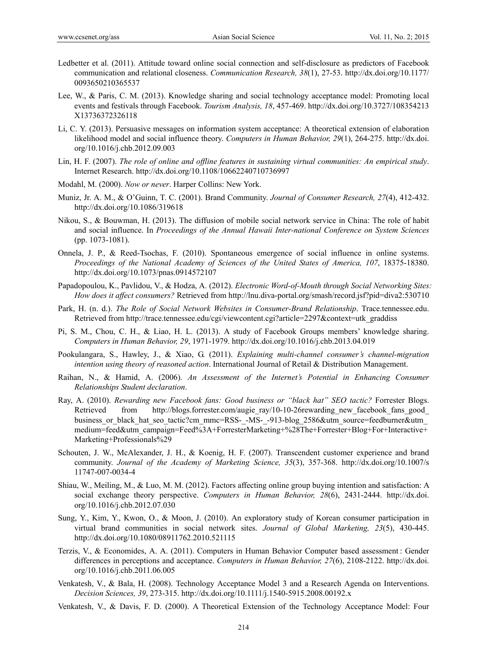- Ledbetter et al. (2011). Attitude toward online social connection and self-disclosure as predictors of Facebook communication and relational closeness. *Communication Research, 38*(1), 27-53. http://dx.doi.org/10.1177/ 0093650210365537
- Lee, W., & Paris, C. M. (2013). Knowledge sharing and social technology acceptance model: Promoting local events and festivals through Facebook. *Tourism Analysis, 18*, 457-469. http://dx.doi.org/10.3727/108354213 X13736372326118
- Li, C. Y. (2013). Persuasive messages on information system acceptance: A theoretical extension of elaboration likelihood model and social influence theory. *Computers in Human Behavior, 29*(1), 264-275. http://dx.doi. org/10.1016/j.chb.2012.09.003
- Lin, H. F. (2007). *The role of online and offline features in sustaining virtual communities: An empirical study*. Internet Research. http://dx.doi.org/10.1108/10662240710736997
- Modahl, M. (2000). *Now or never*. Harper Collins: New York.
- Muniz, Jr. A. M., & O'Guinn, T. C. (2001). Brand Community. *Journal of Consumer Research, 27*(4), 412-432. http://dx.doi.org/10.1086/319618
- Nikou, S., & Bouwman, H. (2013). The diffusion of mobile social network service in China: The role of habit and social influence. In *Proceedings of the Annual Hawaii Inter-national Conference on System Sciences* (pp. 1073-1081).
- Onnela, J. P., & Reed-Tsochas, F. (2010). Spontaneous emergence of social influence in online systems. *Proceedings of the National Academy of Sciences of the United States of America, 107*, 18375-18380. http://dx.doi.org/10.1073/pnas.0914572107
- Papadopoulou, K., Pavlidou, V., & Hodza, A. (2012). *Electronic Word-of-Mouth through Social Networking Sites: How does it affect consumers?* Retrieved from http://lnu.diva-portal.org/smash/record.jsf?pid=diva2:530710
- Park, H. (n. d.). *The Role of Social Network Websites in Consumer-Brand Relationship*. Trace.tennessee.edu. Retrieved from http://trace.tennessee.edu/cgi/viewcontent.cgi?article=2297&context=utk\_graddiss
- Pi, S. M., Chou, C. H., & Liao, H. L. (2013). A study of Facebook Groups members' knowledge sharing. *Computers in Human Behavior, 29*, 1971-1979. http://dx.doi.org/10.1016/j.chb.2013.04.019
- Pookulangara, S., Hawley, J., & Xiao, G. (2011). *Explaining multi-channel consumer's channel-migration intention using theory of reasoned action*. International Journal of Retail & Distribution Management.
- Raihan, N., & Hamid, A. (2006). *An Assessment of the Internet's Potential in Enhancing Consumer Relationships Student declaration*.
- Ray, A. (2010). *Rewarding new Facebook fans: Good business or "black hat" SEO tactic?* Forrester Blogs. Retrieved from http://blogs.forrester.com/augie\_ray/10-10-26rewarding\_new\_facebook\_fans\_good business or black hat seo tactic?cm\_mmc=RSS-\_-MS-\_-913-blog\_2586&utm\_source=feedburner&utm medium=feed&utm\_campaign=Feed%3A+ForresterMarketing+%28The+Forrester+Blog+For+Interactive+ Marketing+Professionals%29
- Schouten, J. W., McAlexander, J. H., & Koenig, H. F. (2007). Transcendent customer experience and brand community. *Journal of the Academy of Marketing Science, 35*(3), 357-368. http://dx.doi.org/10.1007/s 11747-007-0034-4
- Shiau, W., Meiling, M., & Luo, M. M. (2012). Factors affecting online group buying intention and satisfaction: A social exchange theory perspective. *Computers in Human Behavior, 28*(6), 2431-2444. http://dx.doi. org/10.1016/j.chb.2012.07.030
- Sung, Y., Kim, Y., Kwon, O., & Moon, J. (2010). An exploratory study of Korean consumer participation in virtual brand communities in social network sites. *Journal of Global Marketing, 23*(5), 430-445. http://dx.doi.org/10.1080/08911762.2010.521115
- Terzis, V., & Economides, A. A. (2011). Computers in Human Behavior Computer based assessment : Gender differences in perceptions and acceptance. *Computers in Human Behavior, 27*(6), 2108-2122. http://dx.doi. org/10.1016/j.chb.2011.06.005
- Venkatesh, V., & Bala, H. (2008). Technology Acceptance Model 3 and a Research Agenda on Interventions. *Decision Sciences, 39*, 273-315. http://dx.doi.org/10.1111/j.1540-5915.2008.00192.x
- Venkatesh, V., & Davis, F. D. (2000). A Theoretical Extension of the Technology Acceptance Model: Four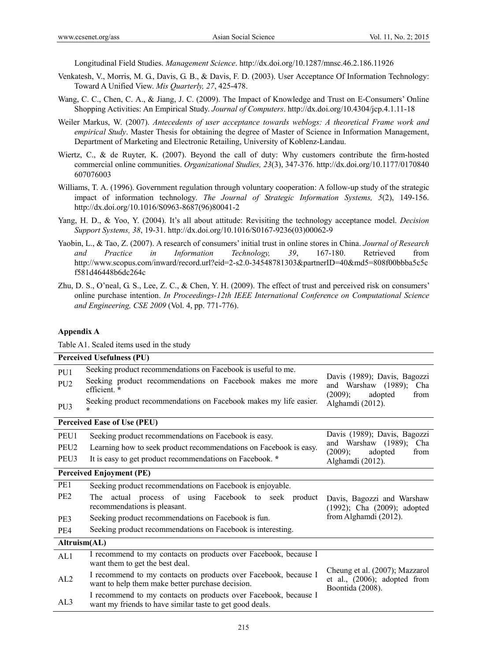Longitudinal Field Studies. *Management Science*. http://dx.doi.org/10.1287/mnsc.46.2.186.11926

- Venkatesh, V., Morris, M. G., Davis, G. B., & Davis, F. D. (2003). User Acceptance Of Information Technology: Toward A Unified View. *Mis Quarterly, 27*, 425-478.
- Wang, C. C., Chen, C. A., & Jiang, J. C. (2009). The Impact of Knowledge and Trust on E-Consumers' Online Shopping Activities: An Empirical Study. *Journal of Computers*. http://dx.doi.org/10.4304/jcp.4.1.11-18
- Weiler Markus, W. (2007). *Antecedents of user acceptance towards weblogs: A theoretical Frame work and empirical Study*. Master Thesis for obtaining the degree of Master of Science in Information Management, Department of Marketing and Electronic Retailing, University of Koblenz-Landau.
- Wiertz, C., & de Ruyter, K. (2007). Beyond the call of duty: Why customers contribute the firm-hosted commercial online communities. *Organizational Studies, 23*(3), 347-376. http://dx.doi.org/10.1177/0170840 607076003
- Williams, T. A. (1996). Government regulation through voluntary cooperation: A follow-up study of the strategic impact of information technology. *The Journal of Strategic Information Systems, 5*(2), 149-156. http://dx.doi.org/10.1016/S0963-8687(96)80041-2
- Yang, H. D., & Yoo, Y. (2004). It's all about attitude: Revisiting the technology acceptance model. *Decision Support Systems, 38*, 19-31. http://dx.doi.org/10.1016/S0167-9236(03)00062-9
- Yaobin, L., & Tao, Z. (2007). A research of consumers' initial trust in online stores in China. *Journal of Research and Practice in Information Technology, 39*, 167-180. Retrieved from http://www.scopus.com/inward/record.url?eid=2-s2.0-34548781303&partnerID=40&md5=808f00bbba5c5c f581d46448b6dc264c
- Zhu, D. S., O'neal, G. S., Lee, Z. C., & Chen, Y. H. (2009). The effect of trust and perceived risk on consumers' online purchase intention. *In Proceedings-12th IEEE International Conference on Computational Science and Engineering, CSE 2009* (Vol. 4, pp. 771-776).

#### **Appendix A**

Table A1. Scaled items used in the study

|                        | <b>Perceived Usefulness (PU)</b>                                                                                                                                                                               |                                                                                             |
|------------------------|----------------------------------------------------------------------------------------------------------------------------------------------------------------------------------------------------------------|---------------------------------------------------------------------------------------------|
| PU1<br>PU <sub>2</sub> | Seeking product recommendations on Facebook is useful to me.<br>Seeking product recommendations on Facebook makes me more<br>efficient. *<br>Seeking product recommendations on Facebook makes my life easier. | Davis (1989); Davis, Bagozzi<br>and Warshaw $(1989)$ ;<br>Cha<br>(2009);<br>adopted<br>from |
| PU <sub>3</sub>        |                                                                                                                                                                                                                | Alghamdi (2012).                                                                            |
|                        | <b>Perceived Ease of Use (PEU)</b>                                                                                                                                                                             |                                                                                             |
| PEU1                   | Seeking product recommendations on Facebook is easy.                                                                                                                                                           | Davis (1989); Davis, Bagozzi                                                                |
| PEU <sub>2</sub>       | Learning how to seek product recommendations on Facebook is easy.                                                                                                                                              | and Warshaw $(1989)$ ;<br>Cha<br>(2009);<br>adopted<br>from                                 |
| PEU3                   | It is easy to get product recommendations on Facebook. *                                                                                                                                                       | Alghamdi (2012).                                                                            |
|                        | <b>Perceived Enjoyment (PE)</b>                                                                                                                                                                                |                                                                                             |
| PE1                    | Seeking product recommendations on Facebook is enjoyable.                                                                                                                                                      |                                                                                             |
| PE <sub>2</sub>        | actual process of using Facebook to seek product<br><b>The</b><br>recommendations is pleasant.                                                                                                                 | Davis, Bagozzi and Warshaw<br>(1992); Cha (2009); adopted                                   |
| PE <sub>3</sub>        | Seeking product recommendations on Facebook is fun.                                                                                                                                                            | from Alghamdi (2012).                                                                       |
| PE4                    | Seeking product recommendations on Facebook is interesting.                                                                                                                                                    |                                                                                             |
| Altruism(AL)           |                                                                                                                                                                                                                |                                                                                             |
| AL1                    | I recommend to my contacts on products over Facebook, because I<br>want them to get the best deal.                                                                                                             |                                                                                             |
| AL2                    | I recommend to my contacts on products over Facebook, because I<br>want to help them make better purchase decision.                                                                                            | Cheung et al. (2007); Mazzarol<br>et al., $(2006)$ ; adopted from<br>Boontida (2008).       |
| AL3                    | I recommend to my contacts on products over Facebook, because I<br>want my friends to have similar taste to get good deals.                                                                                    |                                                                                             |
|                        |                                                                                                                                                                                                                |                                                                                             |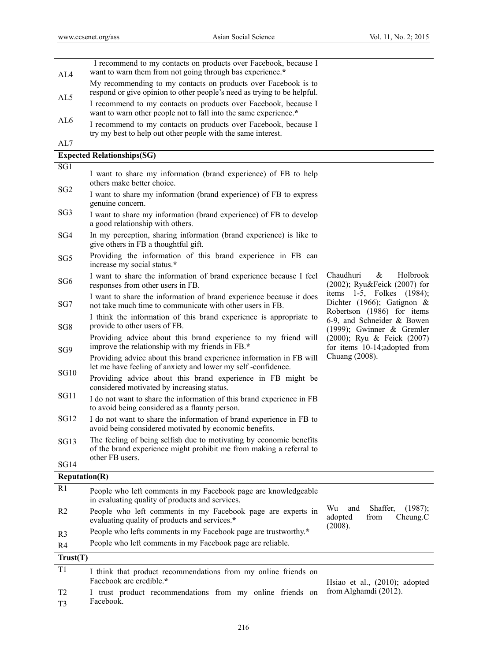| AL4             | I recommend to my contacts on products over Facebook, because I<br>want to warn them from not going through bas experience.*               |                                                                                       |
|-----------------|--------------------------------------------------------------------------------------------------------------------------------------------|---------------------------------------------------------------------------------------|
| AL5             | My recommending to my contacts on products over Facebook is to<br>respond or give opinion to other people's need as trying to be helpful.  |                                                                                       |
|                 | I recommend to my contacts on products over Facebook, because I<br>want to warn other people not to fall into the same experience.*        |                                                                                       |
| AL6             | I recommend to my contacts on products over Facebook, because I<br>try my best to help out other people with the same interest.            |                                                                                       |
| AL7             |                                                                                                                                            |                                                                                       |
|                 | <b>Expected Relationships(SG)</b>                                                                                                          |                                                                                       |
| SG1             | I want to share my information (brand experience) of FB to help<br>others make better choice.                                              |                                                                                       |
| SG <sub>2</sub> | I want to share my information (brand experience) of FB to express<br>genuine concern.                                                     |                                                                                       |
| SG <sub>3</sub> | I want to share my information (brand experience) of FB to develop<br>a good relationship with others.                                     |                                                                                       |
| SG4             | In my perception, sharing information (brand experience) is like to<br>give others in FB a thoughtful gift.                                |                                                                                       |
| SG5             | Providing the information of this brand experience in FB can<br>increase my social status.*                                                |                                                                                       |
| SG <sub>6</sub> | I want to share the information of brand experience because I feel<br>responses from other users in FB.                                    | Chaudhuri<br>Holbrook<br>&<br>(2002); Ryu&Feick (2007) for                            |
| SG7             | I want to share the information of brand experience because it does<br>not take much time to communicate with other users in FB.           | items 1-5, Folkes (1984);<br>Dichter (1966); Gatignon &<br>Robertson (1986) for items |
| SG8             | I think the information of this brand experience is appropriate to<br>provide to other users of FB.                                        | 6-9, and Schneider & Bowen<br>(1999); Gwinner & Gremler                               |
| SG9             | Providing advice about this brand experience to my friend will<br>improve the relationship with my friends in FB.*                         | (2000); Ryu & Feick (2007)<br>for items 10-14; adopted from                           |
| <b>SG10</b>     | Providing advice about this brand experience information in FB will<br>let me have feeling of anxiety and lower my self-confidence.        | Chuang (2008).                                                                        |
|                 | Providing advice about this brand experience in FB might be<br>considered motivated by increasing status.                                  |                                                                                       |
| SG11            | I do not want to share the information of this brand experience in FB<br>to avoid being considered as a flaunty person.                    |                                                                                       |
| <b>SG12</b>     | I do not want to share the information of brand experience in FB to<br>avoid being considered motivated by economic benefits.              |                                                                                       |
| <b>SG13</b>     | The feeling of being selfish due to motivating by economic benefits<br>of the brand experience might prohibit me from making a referral to |                                                                                       |
| <b>SG14</b>     | other FB users.                                                                                                                            |                                                                                       |
|                 | <b>Reputation(R)</b>                                                                                                                       |                                                                                       |
| $\overline{R1}$ | People who left comments in my Facebook page are knowledgeable<br>in evaluating quality of products and services.                          |                                                                                       |

R2 R3 People who left comments in my Facebook page are experts in evaluating quality of products and services.**\*** People who lefts comments in my Facebook page are trustworthy.**\*** Wu and Shaffer, (1987); adopted from Cheung.C (2008).

R4 People who left comments in my Facebook page are reliable.

#### **Trust(T)**  T1 T2 T3 I think that product recommendations from my online friends on Facebook are credible.**\*** I trust product recommendations from my online friends on Facebook. Hsiao et al., (2010); adopted from Alghamdi (2012).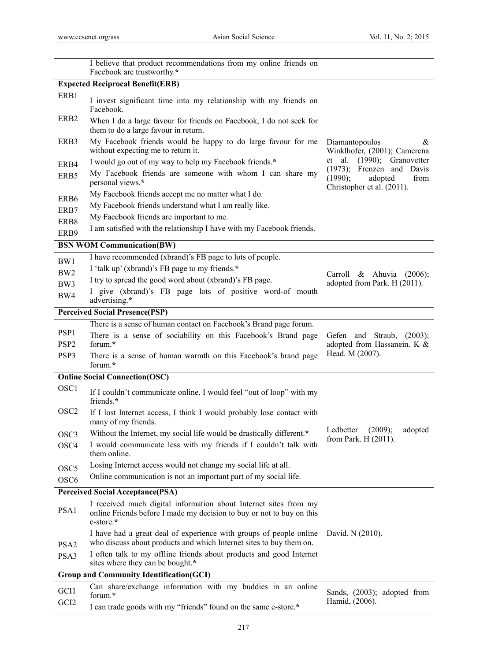|                          | I believe that product recommendations from my online friends on                                                                                       |                                                                     |
|--------------------------|--------------------------------------------------------------------------------------------------------------------------------------------------------|---------------------------------------------------------------------|
|                          | Facebook are trustworthy.*                                                                                                                             |                                                                     |
|                          | <b>Expected Reciprocal Benefit(ERB)</b>                                                                                                                |                                                                     |
| ERB1                     | I invest significant time into my relationship with my friends on<br>Facebook.                                                                         |                                                                     |
| ERB <sub>2</sub>         | When I do a large favour for friends on Facebook, I do not seek for<br>them to do a large favour in return.                                            |                                                                     |
| ERB3                     | My Facebook friends would be happy to do large favour for me<br>without expecting me to return it.                                                     | Diamantopoulos<br>&<br>Winklhofer, (2001); Camerena                 |
| ERB4                     | I would go out of my way to help my Facebook friends.*                                                                                                 | al.<br>$(1990)$ ; Granovetter<br>et<br>(1973);<br>Frenzen and Davis |
| ERB5                     | My Facebook friends are someone with whom I can share my<br>personal views.*                                                                           | (1990);<br>adopted<br>from<br>Christopher et al. (2011).            |
| ERB <sub>6</sub>         | My Facebook friends accept me no matter what I do.                                                                                                     |                                                                     |
| ERB7                     | My Facebook friends understand what I am really like.                                                                                                  |                                                                     |
| ERB8                     | My Facebook friends are important to me.                                                                                                               |                                                                     |
| ERB9                     | I am satisfied with the relationship I have with my Facebook friends.                                                                                  |                                                                     |
|                          | <b>BSN WOM Communication(BW)</b>                                                                                                                       |                                                                     |
| BW1                      | I have recommended (xbrand)'s FB page to lots of people.                                                                                               |                                                                     |
| BW <sub>2</sub>          | I 'talk up' (xbrand)'s FB page to my friends.*                                                                                                         | Carroll &<br>Ahuvia                                                 |
| BW3                      | I try to spread the good word about (xbrand)'s FB page.                                                                                                | (2006);<br>adopted from Park. H (2011).                             |
| BW4                      | I give (xbrand)'s FB page lots of positive word-of mouth<br>advertising.*                                                                              |                                                                     |
|                          | <b>Perceived Social Presence(PSP)</b>                                                                                                                  |                                                                     |
|                          | There is a sense of human contact on Facebook's Brand page forum.                                                                                      |                                                                     |
| PSP1<br>PSP <sub>2</sub> | There is a sense of sociability on this Facebook's Brand page<br>forum.*                                                                               | Gefen and Straub, (2003);<br>adopted from Hassanein. K &            |
| PSP3                     | There is a sense of human warmth on this Facebook's brand page<br>forum.*                                                                              | Head. M (2007).                                                     |
|                          | <b>Online Social Connection(OSC)</b>                                                                                                                   |                                                                     |
| OSC1                     | If I couldn't communicate online, I would feel "out of loop" with my<br>friends.*                                                                      |                                                                     |
| OSC <sub>2</sub>         | If I lost Internet access, I think I would probably lose contact with<br>many of my friends.                                                           |                                                                     |
| OSC <sub>3</sub>         | Without the Internet, my social life would be drastically different.*                                                                                  | Ledbetter<br>(2009);<br>adopted                                     |
| OSC4                     | I would communicate less with my friends if I couldn't talk with<br>them online.                                                                       | from Park. H (2011).                                                |
| OSC <sub>5</sub>         | Losing Internet access would not change my social life at all.                                                                                         |                                                                     |
| OSC <sub>6</sub>         | Online communication is not an important part of my social life.                                                                                       |                                                                     |
|                          | <b>Perceived Social Acceptance(PSA)</b>                                                                                                                |                                                                     |
| PSA1                     | I received much digital information about Internet sites from my<br>online Friends before I made my decision to buy or not to buy on this<br>e-store.* |                                                                     |
| PSA <sub>2</sub>         | I have had a great deal of experience with groups of people online<br>who discuss about products and which Internet sites to buy them on.              | David. N (2010).                                                    |
| PSA3                     | I often talk to my offline friends about products and good Internet<br>sites where they can be bought.*                                                |                                                                     |
|                          | <b>Group and Community Identification(GCI)</b>                                                                                                         |                                                                     |
| GCI1                     | Can share/exchange information with my buddies in an online<br>forum.*                                                                                 | Sands, (2003); adopted from<br>Hamid, (2006).                       |
| GCI <sub>2</sub>         | I can trade goods with my "friends" found on the same e-store.*                                                                                        |                                                                     |